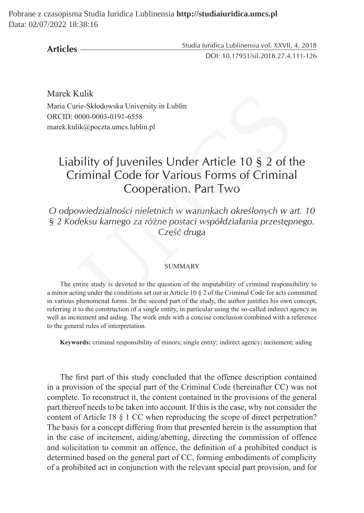Pobrane z czasopisma Studia Iuridica Lublinensia **http://studiaiuridica.umcs.pl** Data: 02/07/2022 18:38:16

**Articles**

Studia Iuridica Lublinensia vol. XXVII, 4, 2018 DOI: 10.17951/sil.2018.27.4.111-126

Marek Kulik Maria Curie-Skłodowska University in Lublin ORCID: 0000-0003-0191-6558 marek.kulik@poczta.umcs.lublin.pl

## Liability of Juveniles Under Article 10 § 2 of the Criminal Code for Various Forms of Criminal Cooperation. Part Two Kulik<br>
Trie-Skłodowska University in Lublin<br>
10000-0003-0191-6558<br>
lik@poczta.umcs.lublin.pl<br>
billity of Juveniles Under Article 10 § 2 of the<br>
Triminal Code for Various Forms of Crimina<br>
Cooperation. Part Two<br>
2000-000000

*O odpowiedzialności nieletnich w warunkach określonych w art. 10 § 2 Kodeksu karnego za różne postaci współdziałania przestępnego. Część druga*

## **SUMMARY**

The entire study is devoted to the question of the imputability of criminal responsibility to a minor acting under the conditions set out in Article 10 § 2 of the Criminal Code for acts committed in various phenomenal forms. In the second part of the study, the author justifies his own concept, referring it to the construction of a single entity, in particular using the so-called indirect agency as well as incitement and aiding. The work ends with a concise conclusion combined with a reference to the general rules of interpretation.

**Keywords:** criminal responsibility of minors; single entity; indirect agency; incitement; aiding

The first part of this study concluded that the offence description contained in a provision of the special part of the Criminal Code (hereinafter CC) was not complete. To reconstruct it, the content contained in the provisions of the general part thereof needs to be taken into account. If this is the case, why not consider the content of Article 18 § 1 CC when reproducing the scope of direct perpetration? The basis for a concept differing from that presented herein is the assumption that in the case of incitement, aiding/abetting, directing the commission of offence and solicitation to commit an offence, the definition of a prohibited conduct is determined based on the general part of CC, forming embodiments of complicity of a prohibited act in conjunction with the relevant special part provision, and for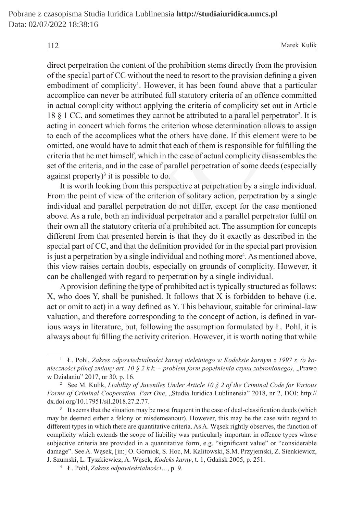112 Marek Kulik

direct perpetration the content of the prohibition stems directly from the provision of the special part of CC without the need to resort to the provision defining a given embodiment of complicity<sup>1</sup>. However, it has been found above that a particular accomplice can never be attributed full statutory criteria of an offence committed in actual complicity without applying the criteria of complicity set out in Article 18  $\S$  1 CC, and sometimes they cannot be attributed to a parallel perpetrator<sup>2</sup>. It is acting in concert which forms the criterion whose determination allows to assign to each of the accomplices what the others have done. If this element were to be omitted, one would have to admit that each of them is responsible for fulfilling the criteria that he met himself, which in the case of actual complicity disassembles the set of the criteria, and in the case of parallel perpetration of some deeds (especially against property) $3$  it is possible to do.

It is worth looking from this perspective at perpetration by a single individual. From the point of view of the criterion of solitary action, perpetration by a single individual and parallel perpetration do not differ, except for the case mentioned above. As a rule, both an individual perpetrator and a parallel perpetrator fulfil on their own all the statutory criteria of a prohibited act. The assumption for concepts different from that presented herein is that they do it exactly as described in the special part of CC, and that the definition provided for in the special part provision is just a perpetration by a single individual and nothing more<sup>4</sup>. As mentioned above, this view raises certain doubts, especially on grounds of complicity. However, it can be challenged with regard to perpetration by a single individual. ice can never be attributed full statutory criteria of an offence com<br>complicity without applying the criteria of complicity set out in .<br>C, and sometimes they cannot be attributed to a parallel perpetrato<br>concert which fo

Aprovision defining the type of prohibited act is typically structured as follows: X, who does Y, shall be punished. It follows that X is forbidden to behave (i.e. act or omit to act) in a way defined as Y. This behaviour, suitable for criminal-law valuation, and therefore corresponding to the concept of action, is defined in various ways in literature, but, following the assumption formulated by Ł. Pohl, it is always about fulfilling the activity criterion. However, it is worth noting that while

<sup>1</sup> Ł. Pohl, *Zakres odpowiedzialności karnej nieletniego w Kodeksie karnym z 1997 r. (o konieczności pilnej zmiany art. 10 § 2 k.k. – problem form popełnienia czynu zabronionego)*, "Prawo w Działaniu" 2017, nr 30, p. 16.

<sup>2</sup> See M. Kulik, *Liability of Juveniles Under Article 10 § 2 of the Criminal Code for Various Forms of Criminal Cooperation. Part One*, "Studia Iuridica Lublinensia" 2018, nr 2, DOI: http:// dx.doi.org/10.17951/sil.2018.27.2.77.

<sup>&</sup>lt;sup>3</sup> It seems that the situation may be most frequent in the case of dual-classification deeds (which may be deemed either a felony or misdemeanour). However, this may be the case with regard to different types in which there are quantitative criteria. As A. Wąsek rightly observes, the function of complicity which extends the scope of liability was particularly important in offence types whose subjective criteria are provided in a quantitative form, e.g. "significant value" or "considerable damage". See A. Wąsek, [in:] O. Górniok, S. Hoc, M. Kalitowski, S.M. Przyjemski, Z. Sienkiewicz, J. Szumski, L. Tyszkiewicz, A. Wąsek, *Kodeks karny*, t. 1, Gdańsk 2005, p. 251.

<sup>4</sup> Ł. Pohl, *Zakres odpowiedzialności…*, p. 9.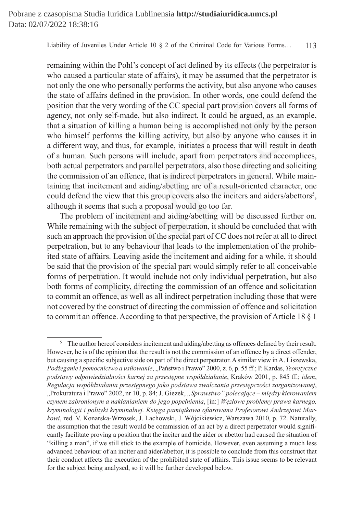remaining within the Pohl's concept of act defined by its effects (the perpetrator is who caused a particular state of affairs), it may be assumed that the perpetrator is not only the one who personally performs the activity, but also anyone who causes the state of affairs defined in the provision. In other words, one could defend the position that the very wording of the CC special part provision covers all forms of agency, not only self-made, but also indirect. It could be argued, as an example, that a situation of killing a human being is accomplished not only by the person who himself performs the killing activity, but also by anyone who causes it in a different way, and thus, for example, initiates a process that will result in death of a human. Such persons will include, apart from perpetrators and accomplices, both actual perpetrators and parallel perpetrators, also those directing and soliciting the commission of an offence, that is indirect perpetrators in general. While maintaining that incitement and aiding/abetting are of a result-oriented character, one could defend the view that this group covers also the inciters and aiders/abettors<sup>5</sup>, although it seems that such a proposal would go too far. of affairs defined in the provision. In other words, one could defe<br>that the very wording of the CC special part provision covers all fo<br>not only self-made, but also indirect. It could be argued, as an ex<br>uation of killing

The problem of incitement and aiding/abetting will be discussed further on. While remaining with the subject of perpetration, it should be concluded that with such an approach the provision of the special part of CC does not refer at all to direct perpetration, but to any behaviour that leads to the implementation of the prohibited state of affairs. Leaving aside the incitement and aiding for a while, it should be said that the provision of the special part would simply refer to all conceivable forms of perpetration. It would include not only individual perpetration, but also both forms of complicity, directing the commission of an offence and solicitation to commit an offence, as well as all indirect perpetration including those that were not covered by the construct of directing the commission of offence and solicitation to commit an offence. According to that perspective, the provision of Article 18 § 1

<sup>&</sup>lt;sup>5</sup> The author hereof considers incitement and aiding/abetting as offences defined by their result. However, he is of the opinion that the result is not the commission of an offence by a direct offender, but causing a specific subjective side on part of the direct perpetrator. Asimilar view in A. Liszewska, *Podżeganie i pomocnictwo a usiłowanie*, "Państwo i Prawo" 2000, z. 6, p. 55 ff.; P. Kardas, *Teoretyczne podstawy odpowiedzialności karnej za przestępne współdziałanie*, Kraków 2001, p. 845 ff.; *idem*, *Regulacja współdziałania przestępnego jako podstawa zwalczania przestępczości zorganizowanej*, "Prokuratura i Prawo" 2002, nr 10, p. 84; J. Giezek, *"Sprawstwo" polecające – między kierowaniem czynem zabronionym a nakłanianiem do jego popełnienia*, [in:] *Węzłowe problemy prawa karnego, kryminologii i polityki kryminalnej. Księga pamiątkowa ofiarowana Profesorowi Andrzejowi Markowi*, red. V. Konarska-Wrzosek, J. Lachowski, J. Wójcikiewicz, Warszawa 2010, p. 72. Naturally, the assumption that the result would be commission of an act by a direct perpetrator would significantly facilitate proving a position that the inciter and the aider or abettor had caused the situation of "killing a man", if we still stick to the example of homicide. However, even assuming a much less advanced behaviour of an inciter and aider/abettor, it is possible to conclude from this construct that their conduct affects the execution of the prohibited state of affairs. This issue seems to be relevant for the subject being analysed, so it will be further developed below.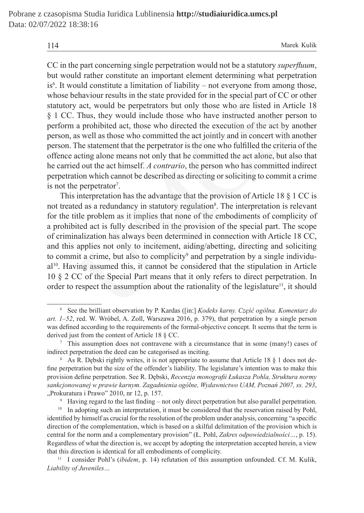CC in the part concerning single perpetration would not be a statutory *superfluum*, but would rather constitute an important element determining what perpetration is<sup>6</sup>. It would constitute a limitation of liability – not everyone from among those, whose behaviour results in the state provided for in the special part of CC or other statutory act, would be perpetrators but only those who are listed in Article 18 § 1 CC. Thus, they would include those who have instructed another person to perform a prohibited act, those who directed the execution of the act by another person, as well as those who committed the act jointly and in concert with another person. The statement that the perpetrator is the one who fulfilled the criteria of the offence acting alone means not only that he committed the act alone, but also that he carried out the act himself. *A contrario*, the person who has committed indirect perpetration which cannot be described as directing or soliciting to commit a crime is not the perpetrator<sup>7</sup>. ehaviour results in the state provided for in the special part of CC o<br>act, would be perpetrators but only those who are listed in Arti<br>Thus, they would include those who have instructed another per<br>a probibited act, thos

This interpretation has the advantage that the provision of Article 18 § 1 CC is not treated as a redundancy in statutory regulation<sup>8</sup>. The interpretation is relevant for the title problem as it implies that none of the embodiments of complicity of a prohibited act is fully described in the provision of the special part. The scope of criminalization has always been determined in connection with Article 18 CC, and this applies not only to incitement, aiding/abetting, directing and soliciting to commit a crime, but also to complicity<sup>9</sup> and perpetration by a single individual<sup>10</sup>. Having assumed this, it cannot be considered that the stipulation in Article 10 § 2 CC of the Special Part means that it only refers to direct perpetration. In order to respect the assumption about the rationality of the legislature<sup>11</sup>, it should

<sup>6</sup> See the brilliant observation by P. Kardas ([in:] *Kodeks karny. Część ogólna. Komentarz do art. 1–52*, red. W. Wróbel, A. Zoll, Warszawa 2016, p. 379), that perpetration by a single person was defined according to the requirements of the formal-objective concept. It seems that the term is derived just from the content of Article 18 § CC.

<sup>7</sup> This assumption does not contravene with a circumstance that in some (many!) cases of indirect perpetration the deed can be categorised as inciting.

<sup>&</sup>lt;sup>8</sup> As R. Dębski rightly writes, it is not appropriate to assume that Article 18 § 1 does not define perpetration but the size of the offender's liability. The legislature's intention was to make this provision define perpetration. See R. Dębski, *Recenzja monografii Łukasza Pohla, Struktura normy sankcjonowanej w prawie karnym. Zagadnienia ogólne, Wydawnictwo UAM, Poznań 2007, ss. 293*, "Prokuratura i Prawo" 2010, nr 12, p. 157.

Having regard to the last finding – not only direct perpetration but also parallel perpetration.

<sup>&</sup>lt;sup>10</sup> In adopting such an interpretation, it must be considered that the reservation raised by Pohl, identified by himself as crucial for the resolution of the problem under analysis, concerning "a specific direction of the complementation, which is based on a skilful delimitation of the provision which is central for the norm and a complementary provision" (Ł. Pohl, *Zakres odpowiedzialności…*, p. 15). Regardless of what the direction is, we accept by adopting the interpretation accepted herein, a view that this direction is identical for all embodiments of complicity.

<sup>11</sup> I consider Pohl's (*ibidem*, p. 14) refutation of this assumption unfounded. Cf. M. Kulik, *Liability of Juveniles…*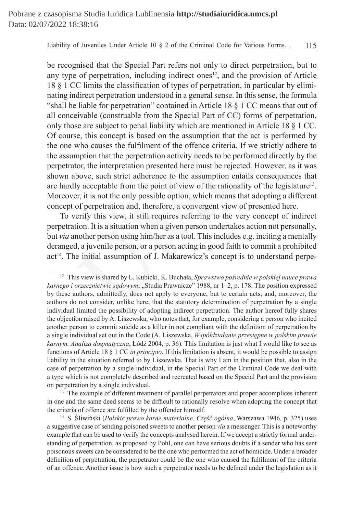be recognised that the Special Part refers not only to direct perpetration, but to any type of perpetration, including indirect ones<sup>12</sup>, and the provision of Article 18 § 1 CC limits the classification of types of perpetration, in particular by eliminating indirect perpetration understood in a general sense. In this sense, the formula "shall be liable for perpetration" contained in Article 18 § 1 CC means that out of all conceivable (construable from the Special Part of CC) forms of perpetration, only those are subject to penal liability which are mentioned in Article 18 § 1 CC. Of course, this concept is based on the assumption that the act is performed by the one who causes the fulfilment of the offence criteria. If we strictly adhere to the assumption that the perpetration activity needs to be performed directly by the perpetrator, the interpretation presented here must be rejected. However, as it was shown above, such strict adherence to the assumption entails consequences that are hardly acceptable from the point of view of the rationality of the legislature<sup>13</sup>. Moreover, it is not the only possible option, which means that adopting a different concept of perpetration and, therefore, a convergent view of presented here. direct perpetration understood in a general sense. In this sense, the fivel<br>adirect perpetration" contained in Article 18 § 1 CC means that<br>eivable (construable from the Special Part of CC) forms of perpetr<br>se are subject

To verify this view, it still requires referring to the very concept of indirect perpetration. It is a situation when a given person undertakes action not personally, but *via* another person using him/her as a tool. This includes e.g. inciting a mentally deranged, a juvenile person, or a person acting in good faith to commit a prohibited act<sup>14</sup>. The initial assumption of J. Makarewicz's concept is to understand perpe-

<sup>12</sup> This view is shared by L. Kubicki, K. Buchała, *Sprawstwo pośrednie w polskiej nauce prawa karnego i orzecznictwie sądowym*, "Studia Prawnicze" 1988, nr 1–2, p. 178. The position expressed by these authors, admittedly, does not apply to everyone, but to certain acts, and, moreover, the authors do not consider, unlike here, that the statutory determination of perpetration by a single individual limited the possibility of adopting indirect perpetration. The author hereof fully shares the objection raised by A. Liszewska, who notes that, for example, considering a person who incited another person to commit suicide as a killer in not compliant with the definition of perpetration by a single individual set out in the Code (A. Liszewska, *Współdziałanie przestępne w polskim prawie karnym. Analiza dogmatyczna*, Łódź 2004, p. 36). This limitation is just what I would like to see as functions of Article 18 § 1 CC *in principio*. If this limitation is absent, it would be possible to assign liability in the situation referred to by Liszewska. That is why I am in the position that, also in the case of perpetration by a single individual, in the Special Part of the Criminal Code we deal with a type which is not completely described and recreated based on the Special Part and the provision on perpetration by a single individual.

<sup>&</sup>lt;sup>13</sup> The example of different treatment of parallel perpetrators and proper accomplices inherent in one and the same deed seems to be difficult to rationally resolve when adopting the concept that the criteria of offence are fulfilled by the offender himself.

<sup>14</sup> S. Śliwiński (*Polskie prawo karne materialne. Część ogólna*, Warszawa 1946, p. 325) uses a suggestive case of sending poisoned sweets to another person *via* a messenger. This is a noteworthy example that can be used to verify the concepts analysed herein. If we accept a strictly formal understanding of perpetration, as proposed by Pohl, one can have serious doubts if a sender who has sent poisonous sweets can be considered to be the one who performed the act of homicide. Under a broader definition of perpetration, the perpetrator could be the one who caused the fulfilment of the criteria of an offence. Another issue is how such a perpetrator needs to be defined under the legislation as it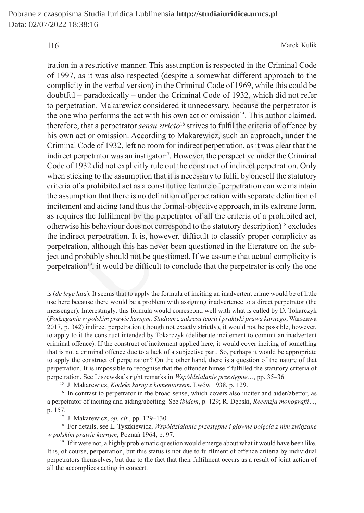tration in a restrictive manner. This assumption is respected in the Criminal Code of 1997, as it was also respected (despite a somewhat different approach to the complicity in the verbal version) in the Criminal Code of 1969, while this could be doubtful – paradoxically – under the Criminal Code of 1932, which did not refer to perpetration. Makarewicz considered it unnecessary, because the perpetrator is the one who performs the act with his own act or omission<sup>15</sup>. This author claimed, therefore, that a perpetrator *sensu stricto*<sup>16</sup> strives to fulfil the criteria of offence by his own act or omission. According to Makarewicz, such an approach, under the Criminal Code of 1932, left no room for indirect perpetration, as it was clear that the indirect perpetrator was an instigator<sup>17</sup>. However, the perspective under the Criminal Code of 1932 did not explicitly rule out the construct of indirect perpetration. Only when sticking to the assumption that it is necessary to fulfil by oneself the statutory criteria of a prohibited act as a constitutive feature of perpetration can we maintain the assumption that there is no definition of perpetration with separate definition of incitement and aiding (and thus the formal-objective approach, in its extreme form, as requires the fulfilment by the perpetrator of all the criteria of a prohibited act, otherwise his behaviour does not correspond to the statutory description)<sup>18</sup> excludes the indirect perpetration. It is, however, difficult to classify proper complicity as perpetration, although this has never been questioned in the literature on the subject and probably should not be questioned. If we assume that actual complicity is perpetration<sup>19</sup>, it would be difficult to conclude that the perpetrator is only the one - paradoxically - under the Criminal Code of 1932, which did no<br>ration. Makarewicz considered it unnecessary, because the perpett<br>who performs the act with his own act or omission<sup>15</sup>. This author cl,<br>that a perpettator

is (*de lege lata*). It seems that to apply the formula of inciting an inadvertent crime would be of little use here because there would be a problem with assigning inadvertence to a direct perpetrator (the messenger). Interestingly, this formula would correspond well with what is called by D. Tokarczyk (*Podżeganie w polskim prawie karnym. Studium z zakresu teorii i praktyki prawa karnego*, Warszawa 2017, p. 342) indirect perpetration (though not exactly strictly), it would not be possible, however, to apply to it the construct intended by Tokarczyk (deliberate incitement to commit an inadvertent criminal offence). If the construct of incitement applied here, it would cover inciting of something that is not a criminal offence due to a lack of a subjective part. So, perhaps it would be appropriate to apply the construct of perpetration? On the other hand, there is a question of the nature of that perpetration. It is impossible to recognise that the offender himself fulfilled the statutory criteria of perpetration. See Liszewska's right remarks in *Współdziałanie przestępne…*, pp. 35–36.

<sup>15</sup> J. Makarewicz, *Kodeks karny z komentarzem*, Lwów 1938, p. 129.

<sup>&</sup>lt;sup>16</sup> In contrast to perpetrator in the broad sense, which covers also inciter and aider/abettor, as a perpetrator of inciting and aiding/abetting. See *ibidem*, p. 129; R. Dębski, *Recenzja monografii…*, p. 157.

<sup>17</sup> J. Makarewicz, *op. cit.*, pp. 129–130.

<sup>18</sup> For details, see L. Tyszkiewicz, *Współdziałanie przestępne i główne pojęcia z nim związane w polskim prawie karnym*, Poznań 1964, p. 97.

 $19$  If it were not, a highly problematic question would emerge about what it would have been like. It is, of course, perpetration, but this status is not due to fulfilment of offence criteria by individual perpetrators themselves, but due to the fact that their fulfilment occurs as a result of joint action of all the accomplices acting in concert.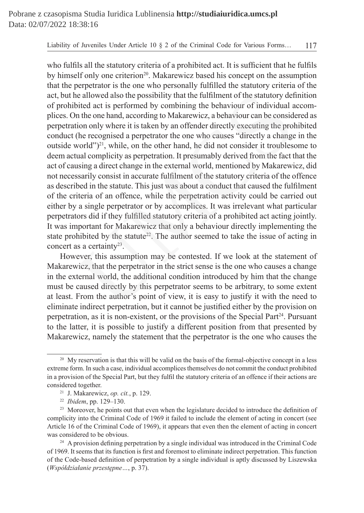who fulfils all the statutory criteria of a prohibited act. It is sufficient that he fulfils by himself only one criterion<sup>20</sup>. Makarewicz based his concept on the assumption that the perpetrator is the one who personally fulfilled the statutory criteria of the act, but he allowed also the possibility that the fulfilment of the statutory definition of prohibited act is performed by combining the behaviour of individual accomplices. On the one hand, according to Makarewicz, a behaviour can be considered as perpetration only where it is taken by an offender directly executing the prohibited conduct (he recognised a perpetrator the one who causes "directly a change in the outside world" $)^{21}$ , while, on the other hand, he did not consider it troublesome to deem actual complicity as perpetration. It presumably derived from the fact that the act of causing a direct change in the external world, mentioned by Makarewicz, did not necessarily consist in accurate fulfilment of the statutory criteria of the offence as described in the statute. This just was about a conduct that caused the fulfilment of the criteria of an offence, while the perpetration activity could be carried out either by a single perpetrator or by accomplices. It was irrelevant what particular perpetrators did if they fulfilled statutory criteria of a prohibited act acting jointly. It was important for Makarewicz that only a behaviour directly implementing the state prohibited by the statute<sup>22</sup>. The author seemed to take the issue of acting in concert as a certainty<sup>23</sup>. he allowed also the possibility that the fulfilment of the statutory deforded act is performed by combining the behaviour of individual a m the one hand, according to Makarewicz, a behaviour can be consided in this one on

However, this assumption may be contested. If we look at the statement of Makarewicz, that the perpetrator in the strict sense is the one who causes a change in the external world, the additional condition introduced by him that the change must be caused directly by this perpetrator seems to be arbitrary, to some extent at least. From the author's point of view, it is easy to justify it with the need to eliminate indirect perpetration, but it cannot be justified either by the provision on perpetration, as it is non-existent, or the provisions of the Special Part<sup>24</sup>. Pursuant to the latter, it is possible to justify a different position from that presented by Makarewicz, namely the statement that the perpetrator is the one who causes the

<sup>&</sup>lt;sup>20</sup> My reservation is that this will be valid on the basis of the formal-objective concept in a less extreme form. In such a case, individual accomplices themselves do not commit the conduct prohibited in a provision of the Special Part, but they fulfil the statutory criteria of an offence if their actions are considered together.

<sup>21</sup> J. Makarewicz, *op. cit.*, p. 129.

<sup>22</sup> *Ibidem*, pp. 129–130.

<sup>&</sup>lt;sup>23</sup> Moreover, he points out that even when the legislature decided to introduce the definition of complicity into the Criminal Code of 1969 it failed to include the element of acting in concert (see Article 16 of the Criminal Code of 1969), it appears that even then the element of acting in concert was considered to be obvious.

<sup>&</sup>lt;sup>24</sup> A provision defining perpetration by a single individual was introduced in the Criminal Code of 1969. It seems that its function is first and foremost to eliminate indirect perpetration. This function of the Code-based definition of perpetration by a single individual is aptly discussed by Liszewska (*Współdziałanie przestępne…*, p. 37).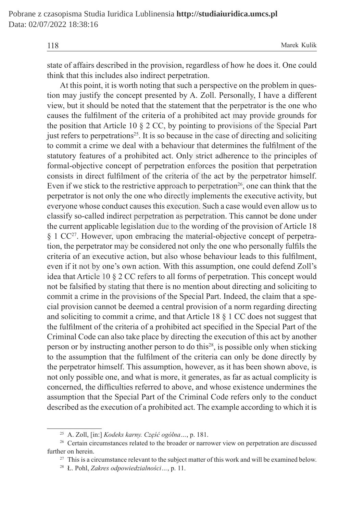state of affairs described in the provision, regardless of how he does it. One could think that this includes also indirect perpetration.

At this point, it is worth noting that such a perspective on the problem in question may justify the concept presented by A. Zoll. Personally, I have a different view, but it should be noted that the statement that the perpetrator is the one who causes the fulfilment of the criteria of a prohibited act may provide grounds for the position that Article 10 § 2 CC, by pointing to provisions of the Special Part just refers to perpetrations<sup>25</sup>. It is so because in the case of directing and soliciting to commit a crime we deal with a behaviour that determines the fulfilment of the statutory features of a prohibited act. Only strict adherence to the principles of formal-objective concept of perpetration enforces the position that perpetration consists in direct fulfilment of the criteria of the act by the perpetrator himself. Even if we stick to the restrictive approach to perpetration<sup>26</sup>, one can think that the perpetrator is not only the one who directly implements the executive activity, but everyone whose conduct causes this execution. Such a case would even allow us to classify so-called indirect perpetration as perpetration. This cannot be done under the current applicable legislation due to the wording of the provision of Article 18 § 1 CC<sup>27</sup>. However, upon embracing the material-objective concept of perpetration, the perpetrator may be considered not only the one who personally fulfils the criteria of an executive action, but also whose behaviour leads to this fulfilment, even if it not by one's own action. With this assumption, one could defend Zoll's idea that Article 10 § 2 CC refers to all forms of perpetration. This concept would not be falsified by stating that there is no mention about directing and soliciting to commit a crime in the provisions of the Special Part. Indeed, the claim that a special provision cannot be deemed a central provision of a norm regarding directing and soliciting to commit a crime, and that Article 18 § 1 CC does not suggest that the fulfilment of the criteria of a prohibited act specified in the Special Part of the Criminal Code can also take place by directing the execution of this act by another person or by instructing another person to do this<sup>28</sup>, is possible only when sticking to the assumption that the fulfilment of the criteria can only be done directly by the perpetrator himself. This assumption, however, as it has been shown above, is not only possible one, and what is more, it generates, as far as actual complicity is concerned, the difficulties referred to above, and whose existence undermines the assumption that the Special Part of the Criminal Code refers only to the conduct described as the execution of a prohibited act. The example according to which it is *i* justify the concept presented by A. Zoll. Personally, I have a di<br>t it should be noted that the statement that the perpetrator is the ore<br>fulfilment of the criteria of a prohibited act may provide grous<br>ion that Artic

<sup>25</sup> A. Zoll, [in:] *Kodeks karny. Część ogólna…*, p. 181.

<sup>&</sup>lt;sup>26</sup> Certain circumstances related to the broader or narrower view on perpetration are discussed further on herein.

<sup>&</sup>lt;sup>27</sup> This is a circumstance relevant to the subject matter of this work and will be examined below.

<sup>28</sup> Ł. Pohl, *Zakres odpowiedzialności…*, p. 11.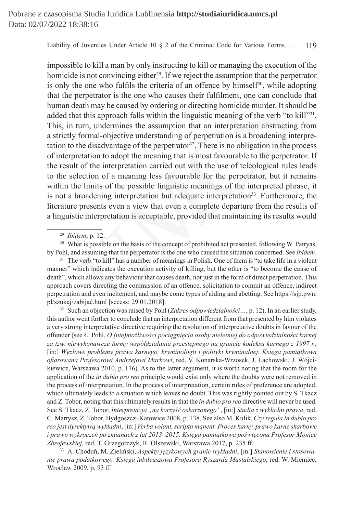impossible to kill a man by only instructing to kill or managing the execution of the homicide is not convincing either<sup>29</sup>. If we reject the assumption that the perpetrator is only the one who fulfils the criteria of an offence by himself<sup>30</sup>, while adopting that the perpetrator is the one who causes their fulfilment, one can conclude that human death may be caused by ordering or directing homicide murder. It should be added that this approach falls within the linguistic meaning of the verb "to kill"<sup>31</sup>. This, in turn, undermines the assumption that an interpretation abstracting from a strictly formal-objective understanding of perpetration is a broadening interpretation to the disadvantage of the perpetrator<sup>32</sup>. There is no obligation in the process of interpretation to adopt the meaning that is most favourable to the perpetrator. If the result of the interpretation carried out with the use of teleological rules leads to the selection of a meaning less favourable for the perpetrator, but it remains within the limits of the possible linguistic meanings of the interpreted phrase, it is not a broadening interpretation but adequate interpretation<sup>33</sup>. Furthermore, the literature presents even a view that even a complete departure from the results of a linguistic interpretation is acceptable, provided that maintaining its results would perpetrator is the one who causes their fulfilment, one can concluent<br>h may be caused by ordering or directing homicide murder. It shot at this approach falls within the linguistic meaning of the verb "to<br>turn, undermines

<sup>30</sup> What is possible on the basis of the concept of prohibited act presented, following W. Patryas, by Pohl, and assuming that the perpetrator is the one who caused the situation concerned. See *ibidem*.

<sup>31</sup> The verb "to kill" has a number of meanings in Polish. One of them is "to take life in a violent manner" which indicates the execution activity of killing, but the other is "to become the cause of death", which allows any behaviour that causes death, not just in the form of direct perpetration. This approach covers directing the commission of an offence, solicitation to commit an offence, indirect perpetration and even incitement, and maybe come types of aiding and abetting. See https://sjp.pwn. pl/szukaj/zabijać.html [sccess: 29.01.2018].

<sup>32</sup> Such an objection was raised by Pohl (*Zakres odpowiedzialności…*, p. 12). In an earlier study, this author went further to conclude that an interpretation different from that presented by him violates a very strong interpretative directive requiring the resolution of interpretative doubts in favour of the offender (see Ł. Pohl, *O (nie)możliwości pociągnięcia osoby nieletniej do odpowiedzialności karnej za tzw. niewykonawcze formy współdziałania przestępnego na gruncie kodeksu karnego z 1997 r.*, [in:] *Węzłowe problemy prawa karnego, kryminologii i polityki kryminalnej. Księga pamiątkowa ofiarowana Profesorowi Andrzejowi Markowi*, red. V. Konarska-Wrzosek, J. Lachowski, J. Wójcikiewicz, Warszawa 2010, p. 176). As to the latter argument, it is worth noting that the room for the application of the *in dubio pro reo* principle would exist only where the doubts were not removed in the process of interpretation. In the process of interpretation, certain rules of preference are adopted, which ultimately leads to a situation which leaves no doubt. This was rightly pointed out by S. Tkacz and Z. Tobor, noting that this ultimately results in that the *in dubio pro reo* directive will never be used. See S. Tkacz, Z. Tobor, *Interpretacja "na korzyść oskarżonego"*, [in:] *Studia z wykładni prawa*, red. C. Martysz, Z. Tobor, Bydgoszcz–Katowice 2008, p. 138. See also M. Kulik, *Czy reguła in dubio pro reo jest dyrektywą wykładni*, [in:] *Verba volant, scripta manent. Proces karny, prawo karne skarbowe i prawo wykroczeń po zmianach z lat 2013–2015. Księga pamiątkowa poświęcona Profesor Monice Zbrojewskiej*, red. T. Grzegorczyk, R. Olszewski, Warszawa 2017, p. 235 ff.

<sup>33</sup> A. Choduń, M. Zieliński, *Aspekty językowych granic wykładni*, [in:] *Stanowienie i stosowanie prawa podatkowego. Księga jubileuszowa Profesora Ryszarda Mastalskiego*, red. W. Miemiec, Wrocław 2009, p. 93 ff.

<sup>29</sup> *Ibidem*, p. 12.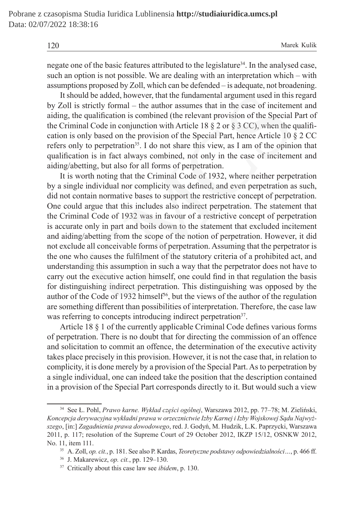negate one of the basic features attributed to the legislature<sup>34</sup>. In the analysed case, such an option is not possible. We are dealing with an interpretation which – with assumptions proposed by Zoll, which can be defended – is adequate, not broadening.

It should be added, however, that the fundamental argument used in this regard by Zoll is strictly formal – the author assumes that in the case of incitement and aiding, the qualification is combined (the relevant provision of the Special Part of the Criminal Code in conjunction with Article 18  $\S 2$  or  $\S 3$  CC), when the qualification is only based on the provision of the Special Part, hence Article 10 § 2 CC refers only to perpetration<sup>35</sup>. I do not share this view, as I am of the opinion that qualification is in fact always combined, not only in the case of incitement and aiding/abetting, but also for all forms of perpetration.

It is worth noting that the Criminal Code of 1932, where neither perpetration by a single individual nor complicity was defined, and even perpetration as such, did not contain normative bases to support the restrictive concept of perpetration. One could argue that this includes also indirect perpetration. The statement that the Criminal Code of 1932 was in favour of a restrictive concept of perpetration is accurate only in part and boils down to the statement that excluded incitement and aiding/abetting from the scope of the notion of perpetration. However, it did not exclude all conceivable forms of perpetration. Assuming that the perpetrator is the one who causes the fulfilment of the statutory criteria of a prohibited act, and understanding this assumption in such a way that the perpetrator does not have to carry out the executive action himself, one could find in that regulation the basis for distinguishing indirect perpetration. This distinguishing was opposed by the author of the Code of 1932 himself<sup>36</sup>, but the views of the author of the regulation are something different than possibilities of interpretation. Therefore, the case law was referring to concepts introducing indirect perpetration<sup>37</sup>. bould be added, however, that the fundamental argument used in this<br>is strictly formal – the author assumes that in the case of inciteme<br>he qualification is combined (the relevant provision of the Special<br>inal Code in conj

Article 18 § 1 of the currently applicable Criminal Code defines various forms of perpetration. There is no doubt that for directing the commission of an offence and solicitation to commit an offence, the determination of the executive activity takes place precisely in this provision. However, it is not the case that, in relation to complicity, it is done merely by a provision of the Special Part. As to perpetration by a single individual, one can indeed take the position that the description contained in a provision of the Special Part corresponds directly to it. But would such a view

<sup>34</sup> See Ł. Pohl, *Prawo karne. Wykład części ogólnej*, Warszawa 2012, pp. 77–78; M. Zieliński, *Koncepcja derywacyjna wykładni prawa w orzecznictwie Izby Karnej i Izby Wojskowej Sądu Najwyższego*, [in:] *Zagadnienia prawa dowodowego*, red. J. Godyń, M. Hudzik, L.K. Paprzycki, Warszawa 2011, p. 117; resolution of the Supreme Court of 29 October 2012, IKZP 15/12, OSNKW 2012, No. 11, item 111.

<sup>35</sup> A. Zoll, *op. cit.*, p. 181. See also P. Kardas, *Teoretyczne podstawy odpowiedzialności…*, p. 466 ff.

<sup>36</sup> J. Makarewicz, *op. cit.*, pp. 129–130.

<sup>37</sup> Critically about this case law see *ibidem*, p. 130.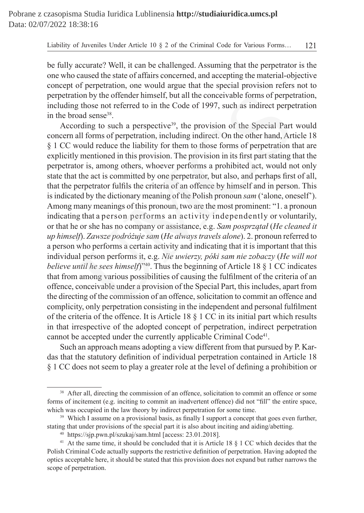be fully accurate? Well, it can be challenged. Assuming that the perpetrator is the one who caused the state of affairs concerned, and accepting the material-objective concept of perpetration, one would argue that the special provision refers not to perpetration by the offender himself, but all the conceivable forms of perpetration, including those not referred to in the Code of 1997, such as indirect perpetration in the broad sense38.

According to such a perspective<sup>39</sup>, the provision of the Special Part would concern all forms of perpetration, including indirect. On the other hand, Article 18 § 1 CC would reduce the liability for them to those forms of perpetration that are explicitly mentioned in this provision. The provision in its first part stating that the perpetrator is, among others, whoever performs a prohibited act, would not only state that the act is committed by one perpetrator, but also, and perhaps first of all, that the perpetrator fulfils the criteria of an offence by himself and in person. This is indicated by the dictionary meaning of the Polish pronoun *sam* ('alone, oneself'). Among many meanings of this pronoun, two are the most prominent: "1. a pronoun indicating that a person performs an activity independently or voluntarily, or that he or she has no company or assistance, e.g. *Sam posprzątał* (*He cleaned it up himself*). *Zawsze podróżuje sam* (*He always travels alone*). 2. pronoun referred to a person who performs a certain activity and indicating that it is important that this individual person performs it, e.g. *Nie uwierzy, póki sam nie zobaczy* (*He will not believe until he sees himself*)"<sup>40</sup>. Thus the beginning of Article 18 § 1 CC indicates that from among various possibilities of causing the fulfilment of the criteria of an offence, conceivable under a provision of the Special Part, this includes, apart from the directing of the commission of an offence, solicitation to commit an offence and complicity, only perpetration consisting in the independent and personal fulfilment of the criteria of the offence. It is Article 18 § 1 CC in its initial part which results in that irrespective of the adopted concept of perpetration, indirect perpetration cannot be accepted under the currently applicable Criminal Code<sup>41</sup>. tion by the offender himself, but all the conceivable forms of perpet<br>g those not referred to in the Code of 1997, such as indirect perpe<br>oad sense<sup>38</sup>.<br>And if or such a perspective<sup>39</sup>, the provision of the Special Part<br>

Such an approach means adopting a view different from that pursued by P. Kardas that the statutory definition of individual perpetration contained in Article 18 § 1 CC does not seem to play a greater role at the level of defining a prohibition or

<sup>&</sup>lt;sup>38</sup> After all, directing the commission of an offence, solicitation to commit an offence or some forms of incitement (e.g. inciting to commit an inadvertent offence) did not "fill" the entire space, which was occupied in the law theory by indirect perpetration for some time.

<sup>&</sup>lt;sup>39</sup> Which I assume on a provisional basis, as finally I support a concept that goes even further, stating that under provisions of the special part it is also about inciting and aiding/abetting.

<sup>40</sup> https://sjp.pwn.pl/szukaj/sam.html [access: 23.01.2018].

<sup>&</sup>lt;sup>41</sup> At the same time, it should be concluded that it is Article 18  $\S$  1 CC which decides that the Polish Criminal Code actually supports the restrictive definition of perpetration. Having adopted the optics acceptable here, it should be stated that this provision does not expand but rather narrows the scope of perpetration.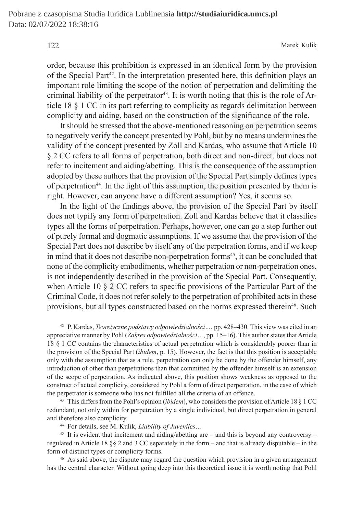order, because this prohibition is expressed in an identical form by the provision of the Special Part<sup>42</sup>. In the interpretation presented here, this definition plays an important role limiting the scope of the notion of perpetration and delimiting the criminal liability of the perpetrator<sup>43</sup>. It is worth noting that this is the role of Article 18 § 1 CC in its part referring to complicity as regards delimitation between complicity and aiding, based on the construction of the significance of the role.

It should be stressed that the above-mentioned reasoning on perpetration seems to negatively verify the concept presented by Pohl, but by no means undermines the validity of the concept presented by Zoll and Kardas, who assume that Article 10 § 2 CC refers to all forms of perpetration, both direct and non-direct, but does not refer to incitement and aiding/abetting. This is the consequence of the assumption adopted by these authors that the provision of the Special Part simply defines types of perpetration<sup>44</sup>. In the light of this assumption, the position presented by them is right. However, can anyone have a different assumption? Yes, it seems so.

In the light of the findings above, the provision of the Special Part by itself does not typify any form of perpetration. Zoll and Kardas believe that it classifies types all the forms of perpetration. Perhaps, however, one can go a step further out of purely formal and dogmatic assumptions. If we assume that the provision of the Special Part does not describe by itself any of the perpetration forms, and if we keep in mind that it does not describe non-perpetration forms<sup>45</sup>, it can be concluded that none of the complicity embodiments, whether perpetration or non-perpetration ones, is not independently described in the provision of the Special Part. Consequently, when Article 10 § 2 CC refers to specific provisions of the Particular Part of the Criminal Code, it does not refer solely to the perpetration of prohibited acts in these provisions, but all types constructed based on the norms expressed therein<sup>46</sup>. Such liability of the perpetrator<sup>43</sup>. It is worth noting that this is the role  $\S 1$  CC in its part referring to complicity as regards delimitation be ty and aiding, based on the construction of the significance of the velvel

<sup>42</sup> P. Kardas, *Teoretyczne podstawy odpowiedzialności…*, pp. 428–430. This view was cited in an appreciative manner by Pohl (*Zakres odpowiedzialności…*, pp. 15–16). This author states that Article 18 § 1 CC contains the characteristics of actual perpetration which is considerably poorer than in the provision of the Special Part (*ibidem*, p. 15). However, the fact is that this position is acceptable only with the assumption that as a rule, perpetration can only be done by the offender himself, any introduction of other than perpetrations than that committed by the offender himself is an extension of the scope of perpetration. As indicated above, this position shows weakness as opposed to the construct of actual complicity, considered by Pohl a form of direct perpetration, in the case of which the perpetrator is someone who has not fulfilled all the criteria of an offence.

<sup>43</sup> This differs from the Pohl's opinion (*ibidem*), who considers the provision of Article 18 § 1 CC redundant, not only within for perpetration by a single individual, but direct perpetration in general and therefore also complicity.

<sup>44</sup> For details, see M. Kulik, *Liability of Juveniles…*

 $45$  It is evident that incitement and aiding/abetting are – and this is beyond any controversy – regulated in Article 18 §§ 2 and 3 CC separately in the form – and that is already disputable – in the form of distinct types or complicity forms.

<sup>46</sup> As said above, the dispute may regard the question which provision in a given arrangement has the central character. Without going deep into this theoretical issue it is worth noting that Pohl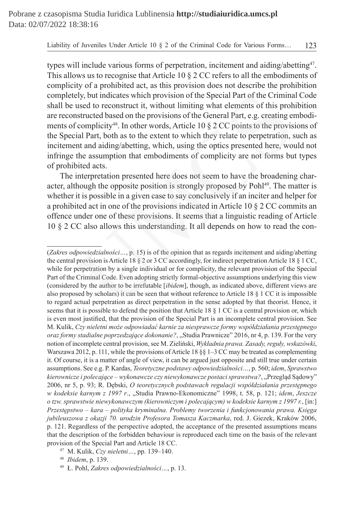types will include various forms of perpetration, incitement and aiding/abetting47. This allows us to recognise that Article 10 § 2 CC refers to all the embodiments of complicity of a prohibited act, as this provision does not describe the prohibition completely, but indicates which provision of the Special Part of the Criminal Code shall be used to reconstruct it, without limiting what elements of this prohibition are reconstructed based on the provisions of the General Part, e.g. creating embodiments of complicity<sup>48</sup>. In other words, Article 10 § 2 CC points to the provisions of the Special Part, both as to the extent to which they relate to perpetration, such as incitement and aiding/abetting, which, using the optics presented here, would not infringe the assumption that embodiments of complicity are not forms but types of prohibited acts. ely, but indicates which provision of the Special Part of the Crimina<br>used to reconstruct it, without limiting what elements of this proh<br>structed based on the provisions of the General Part, e.g. creating et<br>complicity<sup>4</sup>

The interpretation presented here does not seem to have the broadening character, although the opposite position is strongly proposed by Pohl<sup>49</sup>. The matter is whether it is possible in a given case to say conclusively if an inciter and helper for a prohibited act in one of the provisions indicated in Article 10 § 2 CC commits an offence under one of these provisions. It seems that a linguistic reading of Article 10 § 2 CC also allows this understanding. It all depends on how to read the con-

<sup>(</sup>*Zakres odpowiedzialności…*, p. 15) is of the opinion that as regards incitement and aiding/abetting the central provision is Article 18 § 2 or 3 CC accordingly, for indirect perpetration Article 18 § 1 CC, while for perpetration by a single individual or for complicity, the relevant provision of the Special Part of the Criminal Code. Even adopting strictly formal-objective assumptions underlying this view (considered by the author to be irrefutable [*ibidem*], though, as indicated above, different views are also proposed by scholars) it can be seen that without reference to Article 18 § 1 CC it is impossible to regard actual perpetration as direct perpetration in the sense adopted by that theorist. Hence, it seems that it is possible to defend the position that Article 18 § 1 CC is a central provision or, which is even most justified, that the provision of the Special Part is an incomplete central provision. See M. Kulik, *Czy nieletni może odpowiadać karnie za niesprawcze formy współdziałania przestępnego oraz formy stadialne poprzedzające dokonanie?*, "Studia Prawnicze" 2016, nr 4, p. 139. For the very notion of incomplete central provision, see M. Zieliński, *Wykładnia prawa. Zasady, reguły, wskazówki*, Warszawa 2012, p. 111, while the provisions of Article 18  $\S$ § 1–3 CC may be treated as complementing it. Of course, it is a matter of angle of view, it can be argued just opposite and still true under certain assumptions. See e.g. P. Kardas, *Teoretyczne podstawy odpowiedzialności…*, p. 560; *idem*, *Sprawstwo kierownicze i polecające – wykonawcze czy niewykonawcze postaci sprawstwa?*, "Przegląd Sądowy" 2006, nr 5, p. 93; R. Dębski, *O teoretycznych podstawach regulacji współdziałania przestępnego w kodeksie karnym z 1997 r*., "Studia Prawno-Ekonomiczne" 1998, t. 58, p. 121; *idem*, *Jeszcze o tzw. sprawstwie niewykonawczym (kierowniczym i polecającym) w kodeksie karnym z 1997 r.*, [in:] *Przestępstwo – kara – polityka kryminalna. Problemy tworzenia i funkcjonowania prawa. Księga jubileuszowa z okazji 70. urodzin Profesora Tomasza Kaczmarka*, red. J. Giezek, Kraków 2006, p. 121. Regardless of the perspective adopted, the acceptance of the presented assumptions means that the description of the forbidden behaviour is reproduced each time on the basis of the relevant provision of the Special Part and Article 18 CC.

<sup>47</sup> M. Kulik, *Czy nieletni…*, pp. 139–140.

<sup>48</sup> *Ibidem*, p. 139.

<sup>49</sup> Ł. Pohl, *Zakres odpowiedzialności…*, p. 13.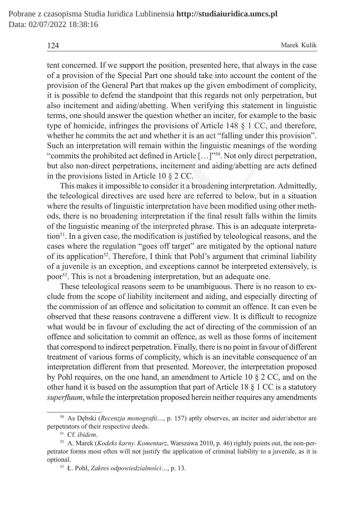tent concerned. If we support the position, presented here, that always in the case of a provision of the Special Part one should take into account the content of the provision of the General Part that makes up the given embodiment of complicity, it is possible to defend the standpoint that this regards not only perpetration, but also incitement and aiding/abetting. When verifying this statement in linguistic terms, one should answer the question whether an inciter, for example to the basic type of homicide, infringes the provisions of Article 148 § 1 CC, and therefore, whether he commits the act and whether it is an act "falling under this provision". Such an interpretation will remain within the linguistic meanings of the wording "commits the prohibited act defined in Article […]"<sup>50</sup>. Not only direct perpetration, but also non-direct perpetrations, incitement and aiding/abetting are acts defined in the provisions listed in Article 10 § 2 CC.

This makes it impossible to consider it a broadening interpretation. Admittedly, the teleological directives are used here are referred to below, but in a situation where the results of linguistic interpretation have been modified using other methods, there is no broadening interpretation if the final result falls within the limits of the linguistic meaning of the interpreted phrase. This is an adequate interpretation<sup>51</sup>. In a given case, the modification is justified by teleological reasons, and the cases where the regulation "goes off target" are mitigated by the optional nature of its application52. Therefore, I think that Pohl's argument that criminal liability of a juvenile is an exception, and exceptions cannot be interpreted extensively, is poor<sup>53</sup>. This is not a broadening interpretation, but an adequate one. sible to defend the standpoint that this regards not only perpetration<br>tement and aiding/abetting. When verifying this statement in lin<br>e should answer the question whether an inciter, for example to the<br>nomicide, infring

These teleological reasons seem to be unambiguous. There is no reason to exclude from the scope of liability incitement and aiding, and especially directing of the commission of an offence and solicitation to commit an offence. It can even be observed that these reasons contravene a different view. It is difficult to recognize what would be in favour of excluding the act of directing of the commission of an offence and solicitation to commit an offence, as well as those forms of incitement that correspond to indirect perpetration. Finally, there is no point in favour of different treatment of various forms of complicity, which is an inevitable consequence of an interpretation different from that presented. Moreover, the interpretation proposed by Pohl requires, on the one hand, an amendment to Article 10 § 2 CC, and on the other hand it is based on the assumption that part of Article 18  $\S$  1 CC is a statutory *superfluum*, while the interpretation proposed herein neither requires any amendments

<sup>50</sup> As Dębski (*Recenzja monografii…*, p. 157) aptly observes, an inciter and aider/abettor are perpetrators of their respective deeds.

<sup>51</sup> Cf. *ibidem*.

<sup>52</sup> A. Marek (*Kodeks karny. Komentarz*, Warszawa 2010, p. 46) rightly points out, the non-perpetrator forms most often will not justify the application of criminal liability to a juvenile, as it is optional.

<sup>53</sup> Ł. Pohl, *Zakres odpowiedzialności…*, p. 13.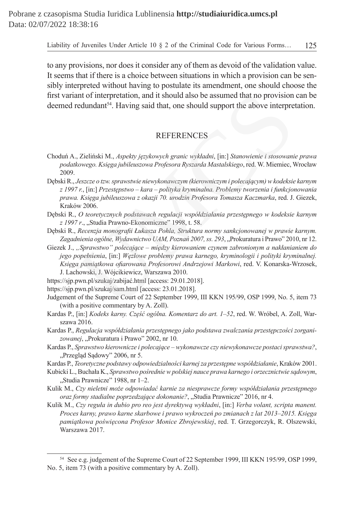to any provisions, nor does it consider any of them as devoid of the validation value. It seems that if there is a choice between situations in which a provision can be sensibly interpreted without having to postulate its amendment, one should choose the first variant of interpretation, and it should also be assumed that no provision can be deemed redundant<sup>54</sup>. Having said that, one should support the above interpretation.

## REFERENCES

- Choduń A., Zieliński M., *Aspekty językowych granic wykładni*, [in:] *Stanowienie i stosowanie prawa podatkowego. Księga jubileuszowa Profesora Ryszarda Mastalskiego*, red. W. Miemiec, Wrocław 2009.
- Dębski R., *Jeszcze o tzw. sprawstwie niewykonawczym (kierowniczym i polecającym) w kodeksie karnym z 1997 r.*, [in:] *Przestępstwo – kara – polityka kryminalna. Problemy tworzenia i funkcjonowania prawa. Księga jubileuszowa z okazji 70. urodzin Profesora Tomasza Kaczmarka*, red. J. Giezek, Kraków 2006. nnt of interpretation, and it should also be assumed that no provision<br>
redundant<sup>54</sup>. Having said that, one should support the above interpre<br>
redundant<sup>54</sup>. Having said that, one should support the above interpre<br>
REFERE
- Dębski R., *O teoretycznych podstawach regulacji współdziałania przestępnego w kodeksie karnym z 1997 r*., "Studia Prawno-Ekonomiczne" 1998, t. 58.

Dębski R., *Recenzja monografii Łukasza Pohla, Struktura normy sankcjonowanej w prawie karnym.*  Zagadnienia ogólne, Wydawnictwo UAM, Poznań 2007, ss. 293, "Prokuratura i Prawo" 2010, nr 12.

Giezek J., *"Sprawstwo" polecające – między kierowaniem czynem zabronionym a nakłanianiem do jego popełnienia*, [in:] *Węzłowe problemy prawa karnego, kryminologii i polityki kryminalnej. Księga pamiątkowa ofiarowana Profesorowi Andrzejowi Markowi*, red. V. Konarska-Wrzosek, J. Lachowski, J. Wójcikiewicz, Warszawa 2010.

https://sjp.pwn.pl/szukaj/zabijać.html [access: 29.01.2018].

https://sjp.pwn.pl/szukaj/sam.html [access: 23.01.2018].

Judgement of the Supreme Court of 22 September 1999, III KKN 195/99, OSP 1999, No. 5, item 73 (with a positive commentary by A. Zoll).

- Kardas P., [in:] *Kodeks karny. Część ogólna. Komentarz do art. 1–52*, red. W. Wróbel, A. Zoll, Warszawa 2016.
- Kardas P., *Regulacja współdziałania przestępnego jako podstawa zwalczania przestępczości zorgani*zowanej, "Prokuratura i Prawo" 2002, nr 10.
- Kardas P., *Sprawstwo kierownicze i polecające wykonawcze czy niewykonawcze postaci sprawstwa?*, "Przegląd Sądowy" 2006, nr 5.
- Kardas P., *Teoretyczne podstawy odpowiedzialności karnej za przestępne współdziałanie*, Kraków 2001.
- Kubicki L., Buchała K., *Sprawstwo pośrednie w polskiej nauce prawa karnego i orzecznictwie sądowym*, "Studia Prawnicze" 1988, nr 1–2.
- Kulik M., *Czy nieletni może odpowiadać karnie za niesprawcze formy współdziałania przestępnego oraz formy stadialne poprzedzające dokonanie?*, "Studia Prawnicze" 2016, nr 4.
- Kulik M., *Czy reguła in dubio pro reo jest dyrektywą wykładni*, [in:] *Verba volant, scripta manent. Proces karny, prawo karne skarbowe i prawo wykroczeń po zmianach z lat 2013–2015. Księga pamiątkowa poświęcona Profesor Monice Zbrojewskiej*, red. T. Grzegorczyk, R. Olszewski, Warszawa 2017.

<sup>54</sup> See e.g. judgement of the Supreme Court of 22 September 1999, III KKN 195/99, OSP 1999, No. 5, item 73 (with a positive commentary by A. Zoll).